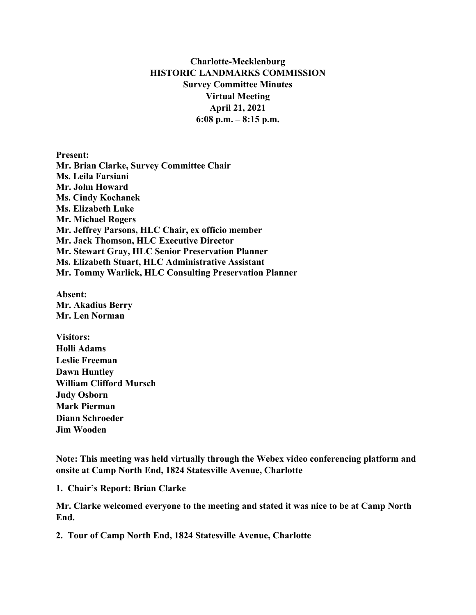## **Charlotte-Mecklenburg HISTORIC LANDMARKS COMMISSION Survey Committee Minutes Virtual Meeting April 21, 2021 6:08 p.m. – 8:15 p.m.**

**Present: Mr. Brian Clarke, Survey Committee Chair Ms. Leila Farsiani Mr. John Howard Ms. Cindy Kochanek Ms. Elizabeth Luke Mr. Michael Rogers Mr. Jeffrey Parsons, HLC Chair, ex officio member Mr. Jack Thomson, HLC Executive Director Mr. Stewart Gray, HLC Senior Preservation Planner Ms. Elizabeth Stuart, HLC Administrative Assistant Mr. Tommy Warlick, HLC Consulting Preservation Planner**

**Absent: Mr. Akadius Berry Mr. Len Norman**

**Visitors: Holli Adams Leslie Freeman Dawn Huntley William Clifford Mursch Judy Osborn Mark Pierman Diann Schroeder Jim Wooden**

**Note: This meeting was held virtually through the Webex video conferencing platform and onsite at Camp North End, 1824 Statesville Avenue, Charlotte**

**1. Chair's Report: Brian Clarke**

**Mr. Clarke welcomed everyone to the meeting and stated it was nice to be at Camp North End.**

**2. Tour of Camp North End, 1824 Statesville Avenue, Charlotte**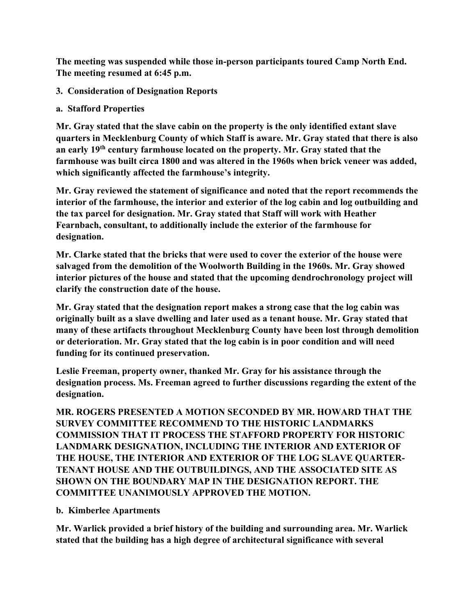**The meeting was suspended while those in-person participants toured Camp North End. The meeting resumed at 6:45 p.m.** 

## **3. Consideration of Designation Reports**

**a. Stafford Properties**

**Mr. Gray stated that the slave cabin on the property is the only identified extant slave quarters in Mecklenburg County of which Staff is aware. Mr. Gray stated that there is also an early 19th century farmhouse located on the property. Mr. Gray stated that the farmhouse was built circa 1800 and was altered in the 1960s when brick veneer was added, which significantly affected the farmhouse's integrity.** 

**Mr. Gray reviewed the statement of significance and noted that the report recommends the interior of the farmhouse, the interior and exterior of the log cabin and log outbuilding and the tax parcel for designation. Mr. Gray stated that Staff will work with Heather Fearnbach, consultant, to additionally include the exterior of the farmhouse for designation.** 

**Mr. Clarke stated that the bricks that were used to cover the exterior of the house were salvaged from the demolition of the Woolworth Building in the 1960s. Mr. Gray showed interior pictures of the house and stated that the upcoming dendrochronology project will clarify the construction date of the house.** 

**Mr. Gray stated that the designation report makes a strong case that the log cabin was originally built as a slave dwelling and later used as a tenant house. Mr. Gray stated that many of these artifacts throughout Mecklenburg County have been lost through demolition or deterioration. Mr. Gray stated that the log cabin is in poor condition and will need funding for its continued preservation.**

**Leslie Freeman, property owner, thanked Mr. Gray for his assistance through the designation process. Ms. Freeman agreed to further discussions regarding the extent of the designation.** 

**MR. ROGERS PRESENTED A MOTION SECONDED BY MR. HOWARD THAT THE SURVEY COMMITTEE RECOMMEND TO THE HISTORIC LANDMARKS COMMISSION THAT IT PROCESS THE STAFFORD PROPERTY FOR HISTORIC LANDMARK DESIGNATION, INCLUDING THE INTERIOR AND EXTERIOR OF THE HOUSE, THE INTERIOR AND EXTERIOR OF THE LOG SLAVE QUARTER-TENANT HOUSE AND THE OUTBUILDINGS, AND THE ASSOCIATED SITE AS SHOWN ON THE BOUNDARY MAP IN THE DESIGNATION REPORT. THE COMMITTEE UNANIMOUSLY APPROVED THE MOTION.** 

**b. Kimberlee Apartments**

**Mr. Warlick provided a brief history of the building and surrounding area. Mr. Warlick stated that the building has a high degree of architectural significance with several**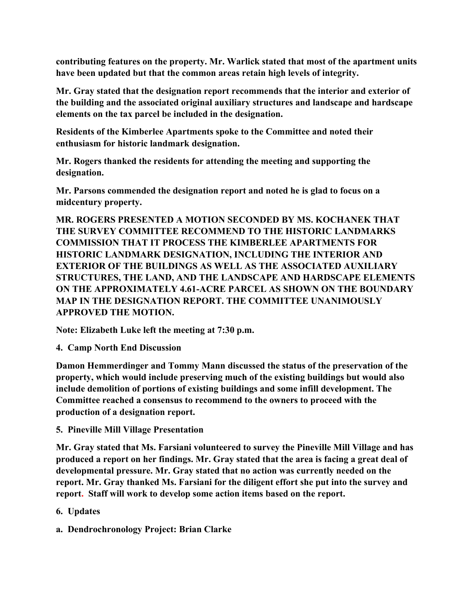**contributing features on the property. Mr. Warlick stated that most of the apartment units have been updated but that the common areas retain high levels of integrity.** 

**Mr. Gray stated that the designation report recommends that the interior and exterior of the building and the associated original auxiliary structures and landscape and hardscape elements on the tax parcel be included in the designation.** 

**Residents of the Kimberlee Apartments spoke to the Committee and noted their enthusiasm for historic landmark designation.** 

**Mr. Rogers thanked the residents for attending the meeting and supporting the designation.** 

**Mr. Parsons commended the designation report and noted he is glad to focus on a midcentury property.** 

**MR. ROGERS PRESENTED A MOTION SECONDED BY MS. KOCHANEK THAT THE SURVEY COMMITTEE RECOMMEND TO THE HISTORIC LANDMARKS COMMISSION THAT IT PROCESS THE KIMBERLEE APARTMENTS FOR HISTORIC LANDMARK DESIGNATION, INCLUDING THE INTERIOR AND EXTERIOR OF THE BUILDINGS AS WELL AS THE ASSOCIATED AUXILIARY STRUCTURES, THE LAND, AND THE LANDSCAPE AND HARDSCAPE ELEMENTS ON THE APPROXIMATELY 4.61-ACRE PARCEL AS SHOWN ON THE BOUNDARY MAP IN THE DESIGNATION REPORT. THE COMMITTEE UNANIMOUSLY APPROVED THE MOTION.** 

**Note: Elizabeth Luke left the meeting at 7:30 p.m.**

**4. Camp North End Discussion**

**Damon Hemmerdinger and Tommy Mann discussed the status of the preservation of the property, which would include preserving much of the existing buildings but would also include demolition of portions of existing buildings and some infill development. The Committee reached a consensus to recommend to the owners to proceed with the production of a designation report.** 

**5. Pineville Mill Village Presentation**

**Mr. Gray stated that Ms. Farsiani volunteered to survey the Pineville Mill Village and has produced a report on her findings. Mr. Gray stated that the area is facing a great deal of developmental pressure. Mr. Gray stated that no action was currently needed on the report. Mr. Gray thanked Ms. Farsiani for the diligent effort she put into the survey and report. Staff will work to develop some action items based on the report.**

- **6. Updates**
- **a. Dendrochronology Project: Brian Clarke**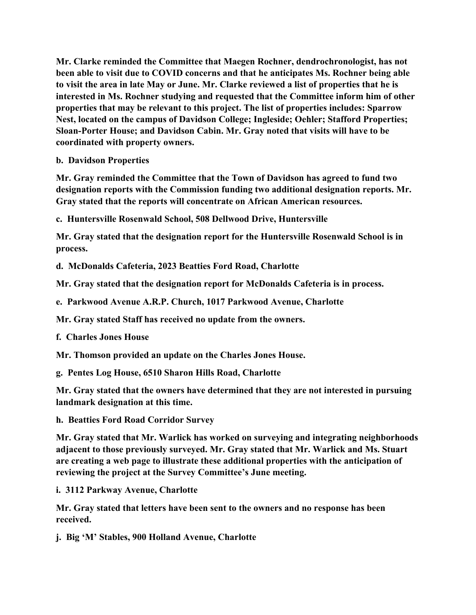**Mr. Clarke reminded the Committee that Maegen Rochner, dendrochronologist, has not been able to visit due to COVID concerns and that he anticipates Ms. Rochner being able to visit the area in late May or June. Mr. Clarke reviewed a list of properties that he is interested in Ms. Rochner studying and requested that the Committee inform him of other properties that may be relevant to this project. The list of properties includes: Sparrow Nest, located on the campus of Davidson College; Ingleside; Oehler; Stafford Properties; Sloan-Porter House; and Davidson Cabin. Mr. Gray noted that visits will have to be coordinated with property owners.**

**b. Davidson Properties**

**Mr. Gray reminded the Committee that the Town of Davidson has agreed to fund two designation reports with the Commission funding two additional designation reports. Mr. Gray stated that the reports will concentrate on African American resources.** 

**c. Huntersville Rosenwald School, 508 Dellwood Drive, Huntersville**

**Mr. Gray stated that the designation report for the Huntersville Rosenwald School is in process.** 

**d. McDonalds Cafeteria, 2023 Beatties Ford Road, Charlotte**

**Mr. Gray stated that the designation report for McDonalds Cafeteria is in process.** 

**e. Parkwood Avenue A.R.P. Church, 1017 Parkwood Avenue, Charlotte**

**Mr. Gray stated Staff has received no update from the owners.**

**f. Charles Jones House**

**Mr. Thomson provided an update on the Charles Jones House.**

**g. Pentes Log House, 6510 Sharon Hills Road, Charlotte**

**Mr. Gray stated that the owners have determined that they are not interested in pursuing landmark designation at this time.** 

**h. Beatties Ford Road Corridor Survey**

**Mr. Gray stated that Mr. Warlick has worked on surveying and integrating neighborhoods adjacent to those previously surveyed. Mr. Gray stated that Mr. Warlick and Ms. Stuart are creating a web page to illustrate these additional properties with the anticipation of reviewing the project at the Survey Committee's June meeting.** 

**i. 3112 Parkway Avenue, Charlotte**

**Mr. Gray stated that letters have been sent to the owners and no response has been received.**

**j. Big 'M' Stables, 900 Holland Avenue, Charlotte**